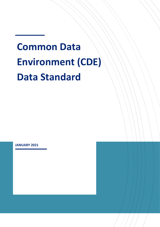# **Common Data Environment (CDE) Data Standard**

**JANUARY 2021**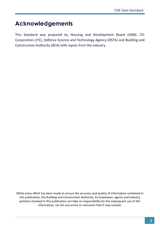### **Acknowledgements**

This Standard was prepared by Housing and Development Board (HDB), JTC Corporation (JTC), Defence Science and Technology Agency (DSTA) and Building and Construction Authority (BCA) with inputs from the industry.

While every effort has been made to ensure the accuracy and quality of information contained in this publication, the Building and Construction Authority, its employees, agents and industry partners involved in this publication can take no responsibility for the subsequent use of this information, nor for any errors or omissions that it may contain.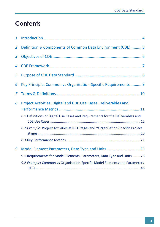### **Contents**

| $\mathbf{1}$   |                                                                                                                                                                                                                                       |
|----------------|---------------------------------------------------------------------------------------------------------------------------------------------------------------------------------------------------------------------------------------|
| $\overline{2}$ | Definition & Components of Common Data Environment (CDE) 5                                                                                                                                                                            |
| 3              |                                                                                                                                                                                                                                       |
| 4              |                                                                                                                                                                                                                                       |
| 5              |                                                                                                                                                                                                                                       |
| 6              | Key Principle: Common vs Organisation-Specific Requirements  9                                                                                                                                                                        |
| 7              |                                                                                                                                                                                                                                       |
| 8              | Project Activities, Digital and CDE Use Cases, Deliverables and<br>8.1 Definitions of Digital Use Cases and Requirements for the Deliverables and<br>8.2 Example: Project Activities at IDD Stages and *Organisation-Specific Project |
| 9              | Model Element Parameters, Data Type and Units  25                                                                                                                                                                                     |
|                | 9.1 Requirements for Model Elements, Parameters, Data Type and Units  26                                                                                                                                                              |
|                | 9.2 Example: Common vs Organisation-Specific Model Elements and Parameters                                                                                                                                                            |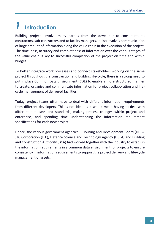## <span id="page-3-0"></span>*1* **Introduction**

Building projects involve many parties from the developer to consultants to contractors, sub-contractors and to facility managers. It also involves communication of large amount of information along the value chain in the execution of the project. The timeliness, accuracy and completeness of information over the various stages of the value chain is key to successful completion of the project on time and within budget.

To better integrate work processes and connect stakeholders working on the same project throughout the construction and building life-cycle, there is a strong need to put in place Common Data Environment (CDE) to enable a more structured manner to create, organise and communicate information for project collaboration and lifecycle management of delivered facilities.

Today, project teams often have to deal with different information requirements from different developers. This is not ideal as it would mean having to deal with different data sets and standards, making process changes within project and enterprise, and spending time understanding the information requirement specifications for each new project.

Hence, the various government agencies – Housing and Development Board (HDB), JTC Corporation (JTC), Defence Science and Technology Agency (DSTA) and Building and Construction Authority (BCA) had worked together with the industry to establish the information requirements in a common data environment for projects to ensure consistency in information requirements to support the project delivery and life-cycle management of assets.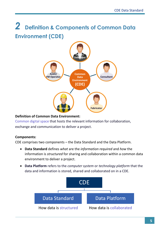### <span id="page-4-0"></span>*2* **Definition & Components of Common Data Environment (CDE)**



#### **Definition of Common Data Environment:**

Common digital space that hosts the relevant information for collaboration, exchange and communication to deliver a project.

#### **Components:**

CDE comprises two components – the Data Standard and the Data Platform.

- **Data Standard** defines *what* are the *information required* and *how* the information is *structured* for sharing and collaboration within a common data environment to deliver a project.
- **Data Platform** refers to the *computer system* or *technology platform* that the data and information is stored, shared and collaborated on in a CDE.

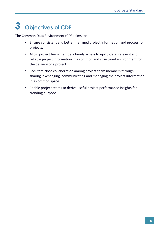## <span id="page-5-0"></span>*3* **Objectives of CDE**

The Common Data Environment (CDE) aims to:

- Ensure consistent and better managed project information and process for projects.
- Allow project team members timely access to up-to-date, relevant and reliable project information in a common and structured environment for the delivery of a project.
- Facilitate close collaboration among project team members through sharing, exchanging, communicating and managing the project information in a common space.
- Enable project teams to derive useful project performance insights for trending purpose.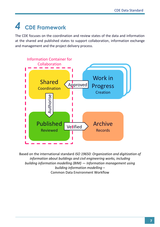## <span id="page-6-0"></span>*4* **CDE Framework**

The CDE focuses on the coordination and review states of the data and information at the shared and published states to support collaboration, information exchange and management and the project delivery process.



Based on the international standard *ISO 19650: Organization and digitization of information about buildings and civil engineering works, including building information modelling (BIM) — Information management using building information modelling* – Common Data Environment Workflow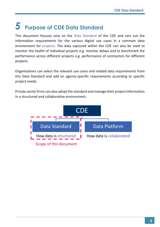## <span id="page-7-0"></span>*5* **Purpose of CDE Data Standard**

This document focuses only on the Data Standard of the CDE and sets out the information requirements for the various digital use cases in a common data environment for projects. The data captured within the CDE can also be used to monitor the health of individual projects e.g. monitor delays and to benchmark the performance across different projects e.g. performance of contractors for different projects.

Organisations can select the relevant use cases and related data requirements from this Data Standard and add on agency-specific requirements according to specific project needs.

Private sector firms can also adopt the standard and manage their project information in a structured and collaborative environment.

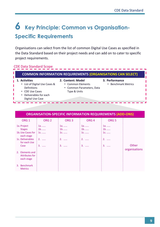### <span id="page-8-0"></span>*6* **Key Principle: Common vs Organisation-Specific Requirements**

Organisations can select from the list of common Digital Use Cases as specified in the Data Standard based on their project needs and can add on to cater to specific project requirements.

#### CDE Data Standard Scope

| <b>COMMON INFORMATION REQUIREMENTS (ORGANISATIONS CAN SELECT)</b>                                                            |                                                                                     |                                       |  |  |  |
|------------------------------------------------------------------------------------------------------------------------------|-------------------------------------------------------------------------------------|---------------------------------------|--|--|--|
| Activities<br>• List of Digital Use Cases &<br>Definitions<br>• CDE Use Cases<br>• Deliverables for each<br>Digital Use Case | 2. Content: Model<br>• Common Elements<br>• Common Parameters, Data<br>Type & Units | 3. Performance<br>• Benchmark Metrics |  |  |  |

|                                                                                                     | <b>ORGANISATION-SPECIFIC INFORMATION REQUIREMENTS (ADD-ONS)</b> |                                    |                                  |                                      |                        |  |
|-----------------------------------------------------------------------------------------------------|-----------------------------------------------------------------|------------------------------------|----------------------------------|--------------------------------------|------------------------|--|
| ORG <sub>1</sub>                                                                                    | ORG <sub>2</sub>                                                | ORG <sub>3</sub>                   | ORG <sub>4</sub>                 | ORG <sub>5</sub>                     |                        |  |
| 1a. Project<br><b>Stages</b><br>1b. Use Cases for<br>each stage<br>1c. Deliverables<br>for each Use | $1a. \dots$<br>$1b$<br>$1c.$<br>$2. \dots$                      | $1a.$<br>$1b$<br>1c.<br>$2. \dots$ | $1a. \dots$<br>$1b$<br>1c.<br>2. | $1a.$<br>$1b$<br>$1c.$<br>$2. \dots$ |                        |  |
| Case<br>2. Elements and<br>Attributes for<br>each stage                                             | 3.                                                              | 3.<br>$\sim$                       | $\mathbf{R}$<br>$\sim$           | 3.<br>$\sim$                         | Other<br>organisations |  |
| 3. Benchmark<br><b>Metrics</b>                                                                      |                                                                 |                                    |                                  |                                      |                        |  |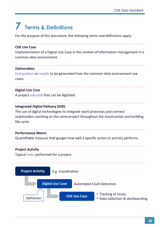## <span id="page-9-0"></span>*7* **Terms & Definitions**

For the purpose of this document, the following terms and definitions apply:

#### **CDE Use Case**

Implementation of a Digital Use Case in the context of information management in a common data environment.

#### **Deliverables**

End product or results to be generated from the common data environment use cases.

#### **Digital Use Case**

A project sub-task that can be digitised.

#### **Integrated Digital Delivery (IDD)**

The use of digital technologies to integrate work processes and connect stakeholders working on the same project throughout the construction and building life-cycle.

#### **Performance Metric**

Quantifiable measure that gauges how well a specific action or activity performs.

#### **Project Activity**

Typical tasks performed for a project.

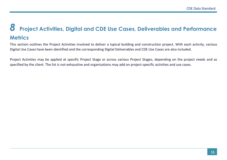## *8* **Project Activities, Digital and CDE Use Cases, Deliverables and Performance Metrics**

This section outlines the Project Activities involved to deliver a typical building and construction project. With each activity, various Digital Use Cases have been identified and the corresponding Digital Deliverables and CDE Use Cases are also included.

<span id="page-10-0"></span>Project Activities may be applied at specific Project Stage or across various Project Stages, depending on the project needs and as specified by the client. The list is not exhaustive and organisations may add on project-specific activities and use cases.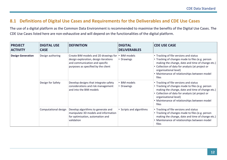#### **8.1 Definitions of Digital Use Cases and Requirements for the Deliverables and CDE Use Cases**

The use of a digital platform as the Common Data Environment is recommended to maximise the benefits of the Digital Use Cases. The CDE Use Cases listed here are non-exhaustive and will depend on the functionalities of the digital platform.

<span id="page-11-0"></span>

| <b>PROJECT</b><br><b>ACTIVITY</b> | <b>DIGITAL USE</b><br><b>CASE</b> | <b>DEFINITION</b>                                                                                                                                       | <b>DIGITAL</b><br><b>DELIVERABLES</b> | <b>CDE USE CASE</b>                                                                                                                                                                                                                                                                  |
|-----------------------------------|-----------------------------------|---------------------------------------------------------------------------------------------------------------------------------------------------------|---------------------------------------|--------------------------------------------------------------------------------------------------------------------------------------------------------------------------------------------------------------------------------------------------------------------------------------|
| <b>Design Generation</b>          | Design authoring                  | Create BIM models and 2D drawings for<br>design exploration, design iterations<br>and communication and specific<br>purposes as specified by the client | • BIM models<br>• Drawings            | • Tracking of file versions and status<br>• Tracking of changes made to files (e.g. person<br>making the change, date and time of change etc.)<br>• Collection of data for analysis (at project or<br>organisational level)<br>• Maintenance of relationships between model<br>files |
|                                   | Design for Safety                 | Develop designs that integrate safety<br>considerations and risk management<br>and into the BIM models                                                  | • BIM models<br>• Drawings            | • Tracking of file versions and status<br>• Tracking of changes made to files (e.g. person<br>making the change, date and time of change etc.)<br>• Collection of data for analysis (at project or<br>organisational level)<br>• Maintenance of relationships between model<br>files |
|                                   | Computational design              | Develop algorithms to generate and<br>manipulate 3D models and information<br>for optimisation, automation and<br>validation                            | • Scripts and algorithms              | • Tracking of file versions and status<br>• Tracking of changes made to files (e.g. person<br>making the change, date and time of change etc.)<br>• Maintenance of relationships between model<br>files                                                                              |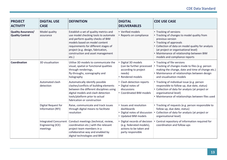| <b>PROJECT</b><br><b>ACTIVITY</b>                   | <b>DIGITAL USE</b><br><b>CASE</b>                             | <b>DEFINITION</b>                                                                                                                                                                                                                                                                   | <b>DIGITAL</b><br><b>DELIVERABLES</b>                                                                     | <b>CDE USE CASE</b>                                                                                                                                                                                                                                                                              |
|-----------------------------------------------------|---------------------------------------------------------------|-------------------------------------------------------------------------------------------------------------------------------------------------------------------------------------------------------------------------------------------------------------------------------------|-----------------------------------------------------------------------------------------------------------|--------------------------------------------------------------------------------------------------------------------------------------------------------------------------------------------------------------------------------------------------------------------------------------------------|
| <b>Quality Assurance/</b><br><b>Quality Control</b> | Model quality<br>assurance                                    | Establish a set of quality metrics and<br>use model checking tools to automate<br>and perform quality checks of BIM<br>models based on model content<br>requirements for different stages of<br>project (e.g. design, fabrication,<br>construction and asset management<br>$etc.$ ) | • Verified models<br>• Reports on compliance                                                              | • Tracking of versions<br>• Tracking of changes to model quality from<br>previous version<br>• Tracking of approvals<br>• Collection of data on model quality for analysis<br>(at project or organisational level)<br>• Maintenance of relationship between BIM<br>models and compliance reports |
| Coordination                                        | 3D visualisation                                              | Utilise 3D models to communicate the<br>visual, spatial or functional qualities<br>through renderings,<br>fly-throughs, scenography and<br>holography                                                                                                                               | • Digital 3D models<br>(can be further processed<br>according to project<br>needs)<br>• Rendered models   | • Tracking of file versions<br>• Tracking of changes made to files (e.g. person<br>making the change, date and time of change etc.)<br>• Maintenance of relationships between design<br>and visualisation models                                                                                 |
|                                                     | Automated clash<br>detection                                  | Automatically identify possible<br>clashes/conflicts of building elements<br>between the different disciplines using<br>digital models and clash detection<br>tools/platform prior to actual<br>fabrication or construction                                                         | • Clash detection reports<br>• Digital notes of<br>discussions<br>• Coordinated BIM models                | • Tracking of individual issue (e.g. person<br>responsible to follow up, due date, status)<br>• Collection of data for analysis (at project or<br>organisational level)<br>• Maintenance of relationships between files used                                                                     |
|                                                     | Digital Request for<br>Information (RFI)                      | Raise, communicate and track issues<br>through digital means to facilitate<br>resolution                                                                                                                                                                                            | • Issues and resolution<br>dashboards<br>• Digital notes of discussion<br>• Updated BIM models            | • Tracking of requests (e.g. person responsible to<br>follow up, due date, status)<br>Collection of data for analysis (at project or<br>organisational level)                                                                                                                                    |
|                                                     | <b>Integrated Concurrent</b><br>Engineering (ICE)<br>meetings | Conduct meetings (technical, review,<br>coordination etc.) with the relevant<br>project team members in a<br>collaborative way and enabled by<br>digital technologies and BIM                                                                                                       | • Digital records of decision<br>(e.g. federated models),<br>actions to be taken and<br>party responsible | • Central repository of information required for<br>coordination and follow-ups                                                                                                                                                                                                                  |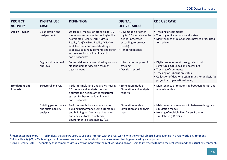| <b>PROJECT</b><br><b>ACTIVITY</b>         | <b>DIGITAL USE</b><br><b>CASE</b>                             | <b>DEFINITION</b>                                                                                                                                                                                                                                                                                                                         | <b>DIGITAL</b><br><b>DELIVERABLES</b>                                                                                        | <b>CDE USE CASE</b>                                                                                                                                                                                                                        |
|-------------------------------------------|---------------------------------------------------------------|-------------------------------------------------------------------------------------------------------------------------------------------------------------------------------------------------------------------------------------------------------------------------------------------------------------------------------------------|------------------------------------------------------------------------------------------------------------------------------|--------------------------------------------------------------------------------------------------------------------------------------------------------------------------------------------------------------------------------------------|
| <b>Design Review</b>                      | Visualisation and<br>design checks                            | Utilise BIM models or other digital 3D<br>models or immersive technologies like<br>Augmented Reality (AR) <sup>1</sup> / Virtual<br>Reality (VR) <sup>2</sup> / Mixed Reality (MR) <sup>3</sup> to<br>seek feedback and validate design<br>aspects, space requirements and other<br>settings such as buildability and<br>constructability | • BIM models or other<br>digital 3D models (can be<br>further processed<br>according to project<br>needs)<br>Rendered models | • Tracking of comments<br>• Tracking of file versions and status<br>• Maintenance of relationships between files used<br>for reviews                                                                                                       |
|                                           | Digital submission &<br>approval                              | Submit deliverables required by various<br>stakeholders for decision through<br>digital means                                                                                                                                                                                                                                             | Information required for<br>tracking<br>• Decision records                                                                   | • Digital endorsement through electronic<br>signatures, QR Codes and access IDs<br>• Tracking of comments<br>• Tracking of submission status<br>• Collection of data on design issues for analysis (at<br>project or organisational level) |
| <b>Simulations and</b><br><b>Analysis</b> | Structural analysis                                           | Perform simulations and analysis using<br>3D models and analysis tools to<br>optimise the design of the structural<br>system for better buildability and<br>constructability                                                                                                                                                              | Simulation models<br>• Simulation and analysis<br>reports                                                                    | • Maintenance of relationship between design and<br>analysis models                                                                                                                                                                        |
|                                           | <b>Building performance</b><br>and sustainability<br>analysis | Perform simulations and analysis of<br>building performance using 3D models<br>and building performance simulation<br>and analysis tools to optimise<br>environmental sustainability (e.g.                                                                                                                                                | • Simulation models<br>• Simulation and analysis<br>reports                                                                  | • Maintenance of relationship between design and<br>simulation models<br>• Hosting of multiple files for environment<br>simulations (3D GIS, etc.)                                                                                         |

<sup>&</sup>lt;sup>1</sup> Augmented Reality (AR) – Technology that allows users to see and interact with the real world with the virtual objects being overlaid in a real-world environment.

<sup>&</sup>lt;sup>2</sup> Virtual Reality (VR) – Technology that immerses users in a completely virtual environment that is generated by a computer.

<sup>&</sup>lt;sup>3</sup> Mixed Reality (MR) – Technology that combines virtual environment with the real-world and allows users to interact with both the real world and the virtual environment.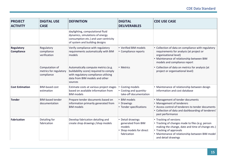| <b>PROJECT</b><br><b>ACTIVITY</b>      | <b>DIGITAL USE</b><br><b>CASE</b>                      | <b>DEFINITION</b>                                                                                                                                                  | <b>DIGITAL</b><br><b>DELIVERABLES</b>                                                        | <b>CDE USE CASE</b>                                                                                                                                                                                                                 |
|----------------------------------------|--------------------------------------------------------|--------------------------------------------------------------------------------------------------------------------------------------------------------------------|----------------------------------------------------------------------------------------------|-------------------------------------------------------------------------------------------------------------------------------------------------------------------------------------------------------------------------------------|
|                                        |                                                        | daylighting, computational fluid<br>dynamics, simulations of energy<br>consumption etc.) and user-centricity<br>of system and building designs                     |                                                                                              |                                                                                                                                                                                                                                     |
| <b>Regulatory</b><br><b>Compliance</b> | Regulatory<br>compliance<br>verification               | Verify compliance with regulatory<br>requirements automatically with BIM<br>models                                                                                 | • Verified BIM models<br>• Compliance reports                                                | • Collection of data on compliance with regulatory<br>requirements for analysis (at project or<br>organisational level)<br>• Maintenance of relationship between BIM<br>models and compliance report                                |
|                                        | Computation of<br>metrics for regulatory<br>compliance | Automatically compute metrics (e.g.<br>buildability score) required to comply<br>with regulatory compliance utilising<br>data from BIM models and other<br>sources | • Metrics                                                                                    | • Collection of data on metrics for analysis (at<br>project or organisational level)                                                                                                                                                |
| <b>Cost Estimation</b>                 | <b>BIM-based cost</b><br>estimation                    | Estimate costs at various project stages<br>based on available information from<br><b>BIM</b> models                                                               | Costing models<br>• Costing and quantity-<br>take-off documentation                          | • Maintenance of relationship between design<br>information and cost database                                                                                                                                                       |
| <b>Tender</b>                          | <b>BIM-based tender</b><br>documentation               | Prepare tender documents based on<br>information primarily generated from<br><b>BIM</b> models                                                                     | • BIM models<br>• Drawings<br>• Tender specifications                                        | • Management of tender documents<br>• Management of tenderers<br>• Access control of tenderers to tender documents<br>• Collection of data and dashboarding of tenderers'<br>past performance                                       |
| Fabrication                            | Detailing for<br>fabrication                           | Develop fabrication detailing and<br>create shop drawings / shop models                                                                                            | • Detail drawings<br>generated from BIM<br>models<br>• Shop models for direct<br>fabrication | • Tracking of versions<br>• Tracking of changes made to files (e.g. person<br>making the change, date and time of change etc.)<br>• Tracking of approvals<br>• Maintenance of relationship between BIM model<br>and detail drawings |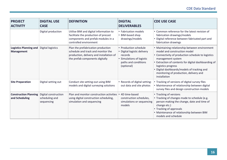| <b>PROJECT</b><br><b>ACTIVITY</b>              | <b>DIGITAL USE</b><br><b>CASE</b>                    | <b>DEFINITION</b>                                                                                                                                       | <b>DIGITAL</b><br><b>DELIVERABLES</b>                                                                                              | <b>CDE USE CASE</b>                                                                                                                                                                                                                                                                                                                              |
|------------------------------------------------|------------------------------------------------------|---------------------------------------------------------------------------------------------------------------------------------------------------------|------------------------------------------------------------------------------------------------------------------------------------|--------------------------------------------------------------------------------------------------------------------------------------------------------------------------------------------------------------------------------------------------------------------------------------------------------------------------------------------------|
|                                                | Digital production                                   | Utilise BIM and digital information to<br>facilitate the production of precast<br>components and prefab modules in a<br>controlled environment          | • Fabrication models<br>• BIM-based shop<br>drawings/models                                                                        | • Common reference for the latest revision of<br>fabrication drawings/models<br>• Digital reference between fabricated part and<br>fabrication drawings                                                                                                                                                                                          |
| <b>Logistics Planning and</b><br>Management    | Digital logistics                                    | Plan the prefabrication production<br>schedule and track and monitor the<br>production, delivery and installation of<br>the prefab components digitally | • Production schedule<br>• Digital logistic delivery<br>records<br>• Simulations of logistic<br>paths and conditions<br>(optional) | • Maintaining relationship between environment<br>model and construction model<br>• Connectivity of production schedule to logistics<br>management system<br>• Extraction of contents for digital dashboarding of<br>logistics progress<br>• Digital dashboards/models of tracking and<br>monitoring of production, delivery and<br>installation |
| <b>Site Preparation</b>                        | Digital setting out                                  | Conduct site setting-out using BIM<br>models and digital surveying solutions                                                                            | • Records of digital setting-<br>out data and site photos                                                                          | • Tracking of versions of digital survey files<br>• Maintenance of relationship between digital<br>survey files and design construction models                                                                                                                                                                                                   |
| <b>Construction Planning</b><br>and Scheduling | Digital construction<br>scheduling and<br>sequencing | Plan and monitor construction activities<br>using digital construction scheduling,<br>simulation and sequencing                                         | • 4D time-based<br>construction schedules,<br>simulations or sequencing<br>models                                                  | • Tracking of versions<br>• Tracking of changes made to schedule (e.g.<br>person making the change, date and time of<br>change etc.)<br>• Tracking of approvals<br>• Maintenance of relationship between BIM<br>models and schedule                                                                                                              |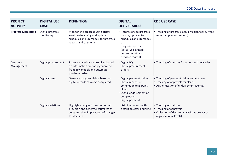| <b>PROJECT</b><br><b>ACTIVITY</b>     | <b>DIGITAL USE</b><br><b>CASE</b> | <b>DEFINITION</b>                                                                                                                    | <b>DIGITAL</b><br><b>DELIVERABLES</b>                                                                                                                                  | <b>CDE USE CASE</b>                                                                                                             |
|---------------------------------------|-----------------------------------|--------------------------------------------------------------------------------------------------------------------------------------|------------------------------------------------------------------------------------------------------------------------------------------------------------------------|---------------------------------------------------------------------------------------------------------------------------------|
| <b>Progress Monitoring</b>            | Digital progress<br>monitoring    | Monitor site progress using digital<br>solutions/scanning and update<br>schedules and 3D models for progress<br>reports and payments | • Records of site progress<br>photos, updates to<br>schedules and 3D models;<br>or<br>• Progress reports<br>(actual vs planned;<br>current month vs<br>previous month) | • Tracking of progress (actual vs planned; current<br>month vs previous month)                                                  |
| <b>Contracts</b><br><b>Management</b> | Digital procurement               | Procure materials and services based<br>on information primarily generated<br>from BIM models and automate<br>purchase orders        | • Digital BQ<br>• Digital procurement<br>orders                                                                                                                        | • Tracking of statuses for orders and deliveries                                                                                |
|                                       | Digital claims                    | Generate progress claims based on<br>digital records of works completed                                                              | • Digital payment claims<br>• Digital records of<br>completion (e.g. point<br>cloud)<br>· Digital endorsement of<br>completion<br>• Digital payment                    | • Tracking of payment claims and statuses<br>• Tracking of approvals for claims<br>• Authentication of endorsement identity     |
|                                       | Digital variations                | Highlight changes from contractual<br>provision and generate estimates of<br>costs and time implications of changes<br>for decisions | • List of variations with<br>details on costs and time                                                                                                                 | • Tracking of statuses<br>• Tracking of approvals<br>• Collection of data for analysis (at project or<br>organisational levels) |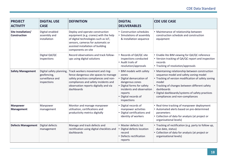| <b>PROJECT</b><br><b>ACTIVITY</b>         | <b>DIGITAL USE</b><br><b>CASE</b>                                          | <b>DEFINITION</b>                                                                                                                                                                                                 | <b>DIGITAL</b><br><b>DELIVERABLES</b>                                                                                                                                                       | <b>CDE USE CASE</b>                                                                                                                                                                                                                                                                                              |
|-------------------------------------------|----------------------------------------------------------------------------|-------------------------------------------------------------------------------------------------------------------------------------------------------------------------------------------------------------------|---------------------------------------------------------------------------------------------------------------------------------------------------------------------------------------------|------------------------------------------------------------------------------------------------------------------------------------------------------------------------------------------------------------------------------------------------------------------------------------------------------------------|
| Site Installation/<br><b>Construction</b> | Digital-enabled<br>assembly and<br>installation                            | Deploy and operate construction<br>equipment (e.g. cranes) with the help<br>of digital technologies such as IoT,<br>sensors, cameras for automatic or<br>assisted installation of building<br>components on-site  | • Construction schedules<br>Simulations of assembly<br>& installation sequence                                                                                                              | • Maintenance of relationship between<br>construction schedule and construction<br>equipment                                                                                                                                                                                                                     |
|                                           | Digital QA/QC<br>inspections                                               | Record observations and track follow-<br>ups using digital solutions                                                                                                                                              | • Records of QA/QC site<br>inspections conducted<br>• Audit trails of<br>resolution/approvals                                                                                               | • Enable lite BIM viewing for QA/QC reference<br>• Version tracking of QA/QC report and inspection<br>records<br>• Tracking of resolution/approvals                                                                                                                                                              |
| <b>Safety Management</b>                  | Digital safety planning,<br>geofencing,<br>surveillance and<br>inspections | Track workers movement and ring-<br>fence dangerous site spaces to manage<br>safety practices compliances and non-<br>compliances and safety incidents and<br>observation reports digitally and via<br>dashboards | • BIM models with safety<br>zones<br>Digital demarcation of<br>dangerous zones<br>• Digital forms for safety<br>incidents and observation<br>reports<br>· Digital records of<br>inspections | • Maintaining relationship between construction<br>sequence model and safety zoning model<br>• Tracking of version modification of safety zoning<br>model<br>• Tracking of changes between different safety<br>dashboards<br>• Digital dashboards/systems of safety practices<br>compliances and non-compliances |
| <b>Manpower</b><br><b>Management</b>      | Manpower<br>management                                                     | Monitor and manage manpower<br>utilisation, certifications and<br>productivity metrics digitally                                                                                                                  | • Digital records of<br>manpower activities<br>• Digital certifications and<br>identity of workers                                                                                          | • Real-time tracking of manpower deployment<br>• Automated alerts based on pre-determined<br>parameters<br>• Collection of data for analysis (at project or<br>organisational levels)                                                                                                                            |
| <b>Defects Management</b>                 | Digital defects<br>management                                              | Manage and track defects and<br>rectification using digital checklists and<br>dashboards                                                                                                                          | • Master defects list<br>Digital defects location<br>record<br>• Defects rectification<br>reports                                                                                           | • Tracking of rectification (e.g. party to follow up,<br>due date, status)<br>• Collection of data for analysis (at project or<br>organisational levels)                                                                                                                                                         |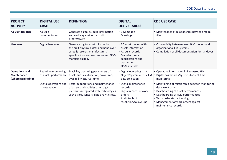| <b>PROJECT</b><br><b>ACTIVITY</b>                          | <b>DIGITAL USE</b><br><b>CASE</b>             | <b>DEFINITION</b>                                                                                                                                                                  | <b>DIGITAL</b><br><b>DELIVERABLES</b>                                                                                                       | <b>CDE USE CASE</b>                                                                                                                                                                                                                               |
|------------------------------------------------------------|-----------------------------------------------|------------------------------------------------------------------------------------------------------------------------------------------------------------------------------------|---------------------------------------------------------------------------------------------------------------------------------------------|---------------------------------------------------------------------------------------------------------------------------------------------------------------------------------------------------------------------------------------------------|
| <b>As-Built Records</b>                                    | As-Built<br>documentation                     | Generate digital as-built information<br>and verify against actual built<br>progressively                                                                                          | • BIM models<br>• Drawings                                                                                                                  | • Maintenance of relationships between model<br>files                                                                                                                                                                                             |
| Handover                                                   | Digital handover                              | Generate digital asset information of<br>the built physical assets and hand over<br>as-built records, manufacturers'<br>specifications and warranties and O&M<br>manuals digitally | • 3D asset models with<br>assets information<br>• As-built records<br>• Manufacturers'<br>specifications and<br>warranties<br>• O&M manuals | • Connectivity between asset BIM models and<br>organisational FM Systems<br>• Compilation of all documentation for handover                                                                                                                       |
| <b>Operations and</b><br>Maintenance<br>(where applicable) | Real-time monitoring<br>of assets performance | Track key operating parameters of<br>assets such as utilisation, downtime,<br>availability etc. real-time                                                                          | • Digital operating data<br>• Object/system centric FM<br>data collection                                                                   | • Operating information link to Asset BIM<br>Digital dashboards/systems for real-time<br>monitoring                                                                                                                                               |
|                                                            | Digital operations and<br>maintenance         | Perform operations and maintenance<br>of assets and facilities using digital<br>platforms integrated with technologies<br>such as IoT, sensors, data analytics etc.                | • Digital maintenance<br>records<br>Digital records of work<br>orders<br>• Audit trails of<br>resolution/follow-ups                         | • Maintaining of relationship between monitoring<br>data, work orders<br>• Dashboarding of asset performances<br>• Dashboarding of FMC performances<br>• Work order status tracking<br>• Management of work orders against<br>maintenance records |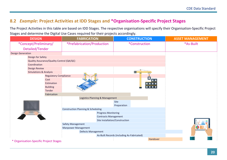#### **8.2** *Example***: Project Activities at IDD Stages and \*Organisation-Specific Project Stages**

The Project Activities in this table are based on IDD Stages. The respective organisations will specify their Organisation-Specific Project Stages and determine the Digital Use Cases required for their projects accordingly.

<span id="page-19-0"></span>

| <b>DESIGN</b>                             | <b>FABRICATION</b>                            | <b>CONSTRUCTION</b>                        | <b>ASSET MANAGEMENT</b> |
|-------------------------------------------|-----------------------------------------------|--------------------------------------------|-------------------------|
| *Concept/Preliminary/                     | *Prefabrication/Production                    | <i>*Construction</i>                       | *As-Built               |
| Detailed/Tender                           |                                               |                                            |                         |
| <b>Design Generation</b>                  |                                               |                                            |                         |
| Design for Safety                         |                                               |                                            |                         |
| Quality Assurance/Quality Control (QA/QC) |                                               |                                            |                         |
| Coordination                              |                                               |                                            |                         |
| <b>Design Review</b>                      |                                               |                                            |                         |
| <b>Simulations &amp; Analysis</b>         |                                               |                                            |                         |
| <b>Regulatory Compliance</b>              |                                               |                                            |                         |
| Cost                                      |                                               | . .                                        |                         |
| Estimation                                |                                               |                                            |                         |
| <b>Building</b>                           |                                               |                                            |                         |
| Tender                                    |                                               |                                            |                         |
| Fabrication                               |                                               |                                            |                         |
|                                           | Logistics Planning & Management               |                                            |                         |
|                                           |                                               | <b>Site</b>                                |                         |
|                                           |                                               | Preparation                                |                         |
|                                           | <b>Construction Planning &amp; Scheduling</b> |                                            |                         |
|                                           | <b>Progress Monitoring</b>                    |                                            |                         |
|                                           | <b>Contracts Management</b>                   | Site Installation/Construction             |                         |
|                                           | Safety Management                             |                                            |                         |
|                                           | <b>Manpower Management</b>                    |                                            |                         |
|                                           | <b>Defects Management</b>                     |                                            |                         |
|                                           |                                               | As-Built Records (including As-Fabricated) |                         |
|                                           |                                               | Handover                                   |                         |
| * Organisation-Specific Project Stages    |                                               |                                            |                         |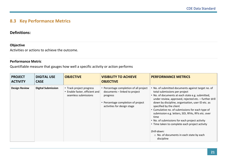#### **8.3 Key Performance Metrics**

#### **Definitions:**

#### **Objective**

Activities or actions to achieve the outcome.

#### **Performance Metric**

Quantifiable measure that gauges how well a specific activity or action performs

<span id="page-20-0"></span>

| <b>PROJECT</b><br><b>ACTIVITY</b> | <b>DIGITAL USE</b><br><b>CASE</b> | <b>OBJECTIVE</b>                                                                   | <b>VISIBILITY TO ACHIEVE</b><br><b>OBJECTIVE</b>                                                                                                         | <b>PERFORMANCE METRICS</b>                                                                                                                                                                                                                                                                                                                                                                                                                                                                                                                                                            |
|-----------------------------------|-----------------------------------|------------------------------------------------------------------------------------|----------------------------------------------------------------------------------------------------------------------------------------------------------|---------------------------------------------------------------------------------------------------------------------------------------------------------------------------------------------------------------------------------------------------------------------------------------------------------------------------------------------------------------------------------------------------------------------------------------------------------------------------------------------------------------------------------------------------------------------------------------|
| <b>Design Review</b>              | <b>Digital Submission</b>         | • Track project progress<br>• Enable faster, efficient and<br>seamless submissions | • Percentage completion of all project<br>documents - linked to project<br>progress<br>• Percentage completion of project<br>activities for design stage | • No. of submitted documents against target no. of<br>total submissions per project<br>. No. of documents at each state e.g. submitted,<br>under review, approved, rejected etc. - further drill<br>down by discipline, organisation, user ID etc. as<br>specified by the client<br>• Cumulative no. of submissions for each type of<br>submission e.g. letters, SOI, RFAs, RFIs etc. over<br>time<br>• No. of submissions for each project activity<br>• Time taken to complete each project activity<br>Drill-down:<br>$\circ$ No. of documents in each state by each<br>discipline |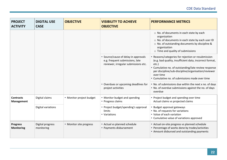| <b>PROJECT</b><br><b>ACTIVITY</b>     | <b>DIGITAL USE</b><br><b>CASE</b>                          | <b>OBJECTIVE</b>         | <b>VISIBILITY TO ACHIEVE</b><br><b>OBJECTIVE</b>                                                                          | <b>PERFORMANCE METRICS</b>                                                                                                                                                                                                                                                                           |
|---------------------------------------|------------------------------------------------------------|--------------------------|---------------------------------------------------------------------------------------------------------------------------|------------------------------------------------------------------------------------------------------------------------------------------------------------------------------------------------------------------------------------------------------------------------------------------------------|
|                                       |                                                            |                          |                                                                                                                           | $\circ$ No. of documents in each state by each<br>organization<br>o No. of documents in each state by each user ID<br>○ No. of outstanding documents by discipline &<br>organization<br>o Time and quality of submissions                                                                            |
|                                       |                                                            |                          | • Source/cause of delay in approvals<br>e.g. frequent submissions, late<br>reviewer, irregular submissions etc.           | • Reasons/categories for rejection or resubmission<br>(e.g. bad quality, insufficient data, incorrect format,<br>etc.)<br>• Cumulative no. of outstanding/late review response<br>per discipline/sub-discipline/organisation/reviewer<br>over time<br>• Cumulative no. of submissions made over time |
|                                       | • Overdues or upcoming deadlines for<br>project activities |                          | . No. of submissions due within the next x no. of days<br>. No. of overdue submissions against the no. of days<br>overdue |                                                                                                                                                                                                                                                                                                      |
| <b>Contracts</b><br><b>Management</b> | Digital claims                                             | • Monitor project budget | • Monitor budget and spending<br>• Progress claims                                                                        | • Project budget and spending over time<br>Actual claims vs projected claims                                                                                                                                                                                                                         |
|                                       | Digital variations                                         |                          | • Project budget/spending's approval<br>limits<br>• Variations                                                            | Budget approval gateways<br>• No. of requests for variations<br>• Value of each variation<br>• Cumulative value of variations approved                                                                                                                                                               |
| <b>Progress</b><br><b>Monitoring</b>  | Digital progress<br>monitoring                             | • Monitor site progress  | • Actual vs planned schedule<br>• Payments disbursement                                                                   | • Actual on-site progress vs planned schedule<br>• Percentage of works done by trades/activities<br>• Amount disbursed and outstanding payments                                                                                                                                                      |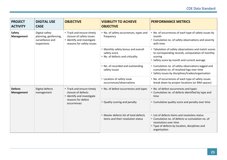| <b>PROJECT</b><br><b>ACTIVITY</b>  | <b>DIGITAL USE</b><br><b>CASE</b>                                          | <b>OBJECTIVE</b>                                                                                                   | <b>VISIBILITY TO ACHIEVE</b><br><b>OBJECTIVE</b>                            | <b>PERFORMANCE METRICS</b>                                                                                                                                                                   |
|------------------------------------|----------------------------------------------------------------------------|--------------------------------------------------------------------------------------------------------------------|-----------------------------------------------------------------------------|----------------------------------------------------------------------------------------------------------------------------------------------------------------------------------------------|
| <b>Safety</b><br><b>Management</b> | Digital safety<br>planning, geofencing,<br>surveillance and<br>inspections | • Track and ensure timely<br>closure of safety issues<br>• Identify and investigate<br>reasons for safety issues   | • No. of safety occurrences, types and<br>frequency                         | • No. of occurrences of each type of safety issues by<br>month<br>• Cumulative no. of safety observations and severity<br>with time                                                          |
|                                    |                                                                            | • Monthly safety bonus and overall<br>safety score<br>• No. of defects and criticality                             |                                                                             | • Tabulation of safety observations and match scores<br>to corresponding records, computation of monthly<br>scoring<br>• Safety score by month and current average                           |
|                                    |                                                                            |                                                                                                                    | • No. of recorded and outstanding<br>safety issues                          | • Cumulative no. of safety observations logged and<br>cumulative no. of resolved logs over time<br>• Safety issues by disciplines/trades/organisation                                        |
|                                    |                                                                            |                                                                                                                    | • Location of safety issue<br>occurrences/observations                      | • No. of occurrences of each type of safety issues<br>break down by project locations (or BIM spaces)                                                                                        |
| <b>Defects</b><br>Management       | Digital defects<br>management                                              | • Track and ensure timely<br>closure of defects<br>• Identify and investigate<br>reasons for defect<br>occurrences | • No. of defect occurrences and types                                       | • No. of defect occurrences and types<br>• Cumulative no. of defects identified by type and<br>time                                                                                          |
|                                    |                                                                            |                                                                                                                    | • Quality scoring and penalty                                               | • Cumulative quality score and penalty over time                                                                                                                                             |
|                                    |                                                                            |                                                                                                                    | • Master defects list of total defects<br>items and their resolution status | • List of defects items and resolution status<br>• Cumulative no. of defects vs cumulation no. of<br>resolutions over time<br>• Type of defects by location, disciplines and<br>organisation |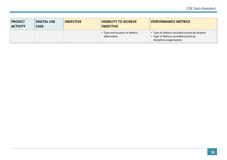| <b>PROJECT</b><br><b>ACTIVITY</b> | <b>DIGITAL USE</b><br><b>OBJECTIVE</b><br><b>CASE</b> |  | <b>VISIBILITY TO ACHIEVE</b><br><b>OBJECTIVE</b> | <b>PERFORMANCE METRICS</b>                                                                                        |  |
|-----------------------------------|-------------------------------------------------------|--|--------------------------------------------------|-------------------------------------------------------------------------------------------------------------------|--|
|                                   |                                                       |  | • Type and location of defects<br>observation    | • Type of defects recorded sorted by location<br>• Type of defects recorded sorted by<br>disciplines/organisation |  |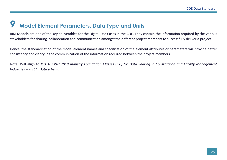### *9* **Model Element Parameters, Data Type and Units**

BIM Models are one of the key deliverables for the Digital Use Cases in the CDE. They contain the information required by the various stakeholders for sharing, collaboration and communication amongst the different project members to successfully deliver a project.

Hence, the standardisation of the model element names and specification of the element attributes or parameters will provide better consistency and clarity in the communication of the information required between the project members.

<span id="page-24-0"></span>Note: Will align to *ISO 16739-1:2018 Industry Foundation Classes (IFC) for Data Sharing in Construction and Facility Management Industries – Part 1: Data schema*.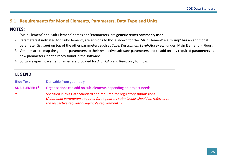#### **9.1 Requirements for Model Elements, Parameters, Data Type and Units**

#### **NOTES:**

- 1. 'Main Element' and 'Sub-Element' names and 'Parameters' are **generic terms commonly used**.
- 2. Parameters if indicated for 'Sub-Element', are add-ons to those shown for the 'Main Element' e.g. 'Ramp' has an additional parameter *Gradient* on top of the other parameters such as *Type*, *Description*, *Level/Storey* etc. under 'Main Element' - 'Floor'.
- 3. Vendors are to map the generic parameters to their respective software parameters and to add on any required parameters as new parameters if not already found in the software.
- 4. Software-specific element names are provided for ArchiCAD and Revit only for now.

<span id="page-25-0"></span>

| <b>LEGEND:</b>      |                                                                                                                                                                                                                  |
|---------------------|------------------------------------------------------------------------------------------------------------------------------------------------------------------------------------------------------------------|
| <b>Blue Text</b>    | Derivable from geometry                                                                                                                                                                                          |
| <b>SUB-ELEMENT*</b> | Organisations can add on sub-elements depending on project needs                                                                                                                                                 |
| $\ast$              | Specified in this Data Standard and required for regulatory submissions<br>(Additional parameters required for regulatory submissions should be referred to<br>the respective regulatory agency's requirements.) |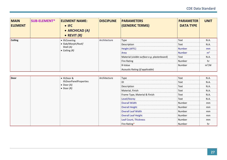| <b>MAIN</b><br><b>ELEMENT</b> | <b>SUB-ELEMENT*</b> | <b>ELEMENT NAME:</b><br>$\bullet$ IFC<br>• ARCHICAD (A)<br>• REVIT $(R)$ | <b>DISCIPLINE</b>  | <b>PARAMETERS</b><br><b>(GENERIC TERMS)</b>  | <b>PARAMETER</b><br><b>DATA TYPE</b> | <b>UNIT</b>    |
|-------------------------------|---------------------|--------------------------------------------------------------------------|--------------------|----------------------------------------------|--------------------------------------|----------------|
| <b>Ceiling</b>                |                     | • IfcCovering                                                            | Architecture       | Type                                         | Text                                 | N.A.           |
|                               |                     | • Slab/Morph/Roof/                                                       |                    | Description                                  | Text                                 | N.A.           |
|                               |                     | Shell (A)<br>$\bullet$ Ceiling (R)                                       |                    | Height (AFFL)                                | <b>Number</b>                        | mm             |
|                               |                     |                                                                          |                    | Area                                         | Number                               | m <sup>2</sup> |
|                               |                     |                                                                          |                    | Material (visible surface e.g. plasterboard) | Text                                 | N.A.           |
|                               |                     |                                                                          | <b>Fire Rating</b> | Number                                       | hr                                   |                |
|                               |                     |                                                                          | R-Value            | Number                                       | $m^2/W$                              |                |
|                               |                     |                                                                          |                    | Acoustic Rating (if applicable)              |                                      |                |

| Door | • IfcDoor &<br>IfcDoorPanelProperties      | Architecture | Type                          | Text   | N.A. |
|------|--------------------------------------------|--------------|-------------------------------|--------|------|
|      |                                            |              | ID                            | Text   | N.A. |
|      | $\bullet$ Door (A)<br>$\bullet$ Door $(R)$ |              | Description                   | Text   | N.A. |
|      |                                            |              | Material, Finish              | Text   | N.A. |
|      |                                            |              | Frame Type, Material & Finish | Text   | N.A. |
|      |                                            |              | Level/Storey                  | Text   | N.A. |
|      |                                            |              | <b>Overall Width</b>          | Number | mm   |
|      |                                            |              | <b>Overall Height</b>         | Number | mm   |
|      |                                            |              | <b>Overall Leaf Width</b>     | Number | mm   |
|      |                                            |              | <b>Overall Leaf Height</b>    | Number | mm   |
|      |                                            |              | Leaf Count, Thickness         | Number | mm   |
|      |                                            |              | Fire Rating*                  | Number | hr   |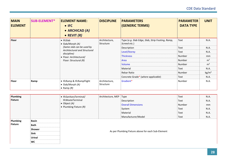| <b>MAIN</b><br><b>ELEMENT</b> | <b>SUB-ELEMENT*</b> | <b>ELEMENT NAME:</b><br>$\bullet$ IFC<br>• ARCHICAD (A)<br>• REVIT $(R)$ | <b>DISCIPLINE</b>          | <b>PARAMETERS</b><br><b>(GENERIC TERMS)</b>                      | <b>PARAMETER</b><br><b>DATA TYPE</b> | <b>UNIT</b>     |
|-------------------------------|---------------------|--------------------------------------------------------------------------|----------------------------|------------------------------------------------------------------|--------------------------------------|-----------------|
| <b>Floor</b>                  |                     | $\bullet$ IfcSlab<br>$\bullet$ Slab/Morph $(A)$                          | Architecture,<br>Structure | Type (e.g. Slab Edge, Slab, Strip Footing, Ramp,<br>Screed etc.) | Text                                 | N.A.            |
|                               |                     | (Same slab can be used by                                                |                            | Description                                                      | Text                                 | N.A.            |
|                               |                     | Architectural and Structural<br>discipline)                              |                            | Level/Storey                                                     | Text                                 | N.A.            |
|                               |                     | • Floor: Architectural/<br>Floor: Structural (R)                         |                            | <b>Thickness</b>                                                 | Number                               | mm              |
|                               |                     |                                                                          |                            | Area                                                             | Number                               | m <sup>2</sup>  |
|                               |                     |                                                                          |                            | Volume                                                           | Number                               | m <sup>3</sup>  |
|                               |                     |                                                                          |                            | Material                                                         | Text                                 | N.A.            |
|                               |                     |                                                                          |                            | Rebar Ratio                                                      | Number                               | $\text{kg/m}^3$ |
|                               |                     |                                                                          |                            | Concrete Grade* (where applicable)                               | Text                                 | N.A.            |
| <b>Floor</b>                  | Ramp                | • IfcRamp & IfcRampFlight<br>• Slab/Morph (A)<br>• Ramp $(R)$            | Architecture,<br>Structure | Gradient*                                                        | Number                               | N.A.            |

| Plumbing<br>Fixture |                                                                      | • IfcSanitaryTerminal/<br><b>IfcWasteTerminal</b><br>$\bullet$ Object (A)<br>• Plumbing Fixture $(R)$ | Architecture, MEP | Type<br>Description<br><b>Overall Dimensions</b><br>System<br>Material<br>Manufacturer/Model | Text<br>Text<br>Number<br>Text<br>Text<br>Text | N.A.<br>N.A.<br>mm<br>N.A.<br>N.A.<br>N.A. |
|---------------------|----------------------------------------------------------------------|-------------------------------------------------------------------------------------------------------|-------------------|----------------------------------------------------------------------------------------------|------------------------------------------------|--------------------------------------------|
| Plumbing<br>Fixture | <b>Basin</b><br><b>Bath</b><br>Shower<br>Sink<br><b>Urinal</b><br>WC |                                                                                                       |                   | As per Plumbing Fixture above for each Sub-Element                                           |                                                |                                            |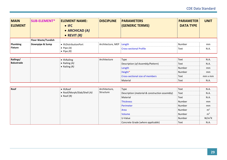| <b>MAIN</b><br><b>ELEMENT</b> | <b>SUB-ELEMENT*</b>        | <b>ELEMENT NAME:</b><br>$\bullet$ IFC<br>• ARCHICAD (A)<br>$\bullet$ REVIT $(R)$ | <b>DISCIPLINE</b> | <b>PARAMETERS</b><br><b>(GENERIC TERMS)</b> | <b>PARAMETER</b><br><b>DATA TYPE</b> | <b>UNIT</b> |
|-------------------------------|----------------------------|----------------------------------------------------------------------------------|-------------------|---------------------------------------------|--------------------------------------|-------------|
|                               | <b>Floor Waste/Tundish</b> |                                                                                  |                   |                                             |                                      |             |
| Plumbing                      | Downpipe & Sump            | • IfcDistributionPort                                                            | Architecture, MEP | Length                                      | Number                               | mm          |
| <b>Fixture</b>                |                            | • Pipe $(A)$<br>• Pipe $(R)$                                                     |                   | <sup>1</sup> Cross-sectional Profile        | Text                                 | N.A.        |

| <b>Railings/</b> | $\bullet$ IfcRailing | Architecture | Type                              | Text   | N.A.           |
|------------------|----------------------|--------------|-----------------------------------|--------|----------------|
| Balustrade       | • Railing $(A)$      |              | Description (of Assembly/Pattern) | Text   | N.A.           |
|                  | • Railing $(R)$      |              | Length                            | Number | mm             |
|                  |                      |              | Height*                           | Number | mm             |
|                  |                      |              | Cross-sectional size of members   | Text   | $mm \times mm$ |
|                  |                      |              | Material                          | Text   | N.A.           |

| <b>Roof</b> |                    | $\bullet$ IfcRoof             | Architecture, | Type                                           | Text     | N.A.           |
|-------------|--------------------|-------------------------------|---------------|------------------------------------------------|----------|----------------|
|             |                    | • Roof/Morph/Slab/Shell $(A)$ | Structure     | Description (material & construction assembly) | Text     | N.A.           |
|             | $\bullet$ Roof (R) |                               | Material      | Text                                           | N.A.     |                |
|             |                    |                               | Thickness     | Number                                         | mm       |                |
|             |                    |                               |               | Perimeter                                      | Number   | mm             |
|             |                    |                               |               | Area                                           | Number   | m <sup>2</sup> |
|             |                    |                               |               | Volume                                         | Number   | m <sup>3</sup> |
|             |                    |                               | U-Value       | Number                                         | $W/m^2K$ |                |
|             |                    |                               |               | Concrete Grade (where applicable)              | Text     | N.A.           |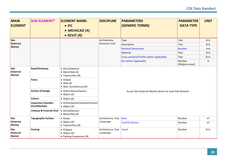| <b>MAIN</b><br><b>ELEMENT</b>       | <b>SUB-ELEMENT*</b>                        | <b>ELEMENT NAME:</b><br>$\bullet$ IFC<br>• ARCHICAD (A)<br>$\bullet$ REVIT $(R)$ | <b>DISCIPLINE</b>                 | <b>PARAMETERS</b><br><b>(GENERIC TERMS)</b>             | <b>PARAMETER</b><br><b>DATA TYPE</b> | <b>UNIT</b>    |  |  |
|-------------------------------------|--------------------------------------------|----------------------------------------------------------------------------------|-----------------------------------|---------------------------------------------------------|--------------------------------------|----------------|--|--|
| Site                                |                                            |                                                                                  | Architecture,                     | Type                                                    | Text                                 | N.A.           |  |  |
| (External                           |                                            |                                                                                  | Structure, Civil                  | Description                                             | Text                                 | N.A.           |  |  |
| <b>Works</b> )                      |                                            |                                                                                  |                                   | <b>Nominal Dimensions</b>                               | <b>Number</b>                        | mm             |  |  |
|                                     |                                            |                                                                                  |                                   | Material                                                | Text                                 | N.A.           |  |  |
|                                     |                                            |                                                                                  |                                   | Cross-sectional Profile (where applicable)              | Text                                 | N.A.           |  |  |
|                                     |                                            |                                                                                  |                                   | RLs (where applicable)                                  | Number<br>(Platform level)           | m              |  |  |
| Site<br>(External<br><b>Works</b> ) | Road/Driveway                              | • IfcCivilElement<br>• Mesh/Slab (A)<br>• Toposurface $(R)$                      |                                   |                                                         |                                      |                |  |  |
|                                     | <b>Fence</b>                               | $\bullet$ IfcWall<br>$\bullet$ Wall $(A)$<br>$\bullet$ Wall: Architectural (R)   |                                   |                                                         |                                      |                |  |  |
|                                     | <b>Surface Drainage</b>                    | • IfcDistributionSystem<br>$\bullet$ Object (A)                                  |                                   | As per Site (External Works) above for each Sub-Element |                                      |                |  |  |
|                                     | <b>Culvert</b>                             | $\bullet$ Object (A)                                                             |                                   |                                                         |                                      |                |  |  |
|                                     | <b>Inspection Chamber</b><br>(ICs)/Manhole | • IfcDistributionChamberElement<br>$\bullet$ Object (A)                          |                                   |                                                         |                                      |                |  |  |
|                                     | <b>Linkway &amp; Covered Area</b>          | • IfcCivilElement<br>• Mesh/Slab (A)                                             |                                   |                                                         |                                      |                |  |  |
| <b>Site</b>                         | <b>Topographic Surface</b>                 | • IfcSite                                                                        | Architecture, Civil,              | Area                                                    | Number                               | m <sup>2</sup> |  |  |
| (External<br><b>Works</b> )         |                                            | $\bullet$ Object (A)<br>$\bullet$ Toposurface (R)                                | Landscape                         | Cut/Fill Volume                                         | Number                               | m <sup>3</sup> |  |  |
| Site<br>(External<br><b>Works</b> ) | <b>Parking</b>                             | • IfcSpace<br>$\bullet$ Object (A)<br>• Parking Component (R)                    | Architecture, Civil,<br>Landscape | Count                                                   | Number                               | N.A.           |  |  |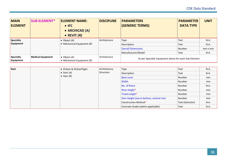| <b>MAIN</b><br><b>ELEMENT</b>        | <b>SUB-ELEMENT*</b>      | <b>ELEMENT NAME:</b><br>$\bullet$ IFC<br>• ARCHICAD (A)<br>• REVIT $(R)$ | <b>DISCIPLINE</b> | <b>PARAMETERS</b><br><b>(GENERIC TERMS)</b>           | <b>PARAMETER</b><br><b>DATA TYPE</b> | <b>UNIT</b>    |
|--------------------------------------|--------------------------|--------------------------------------------------------------------------|-------------------|-------------------------------------------------------|--------------------------------------|----------------|
| <b>Specialty</b>                     | $\bullet$ Object (A)     | Architecture                                                             | <b>Type</b>       | Text                                                  | N.A.                                 |                |
| <b>Equipment</b>                     |                          | • Mechanical Equipment $(R)$                                             |                   | Description                                           | Text                                 | N.A.           |
|                                      |                          |                                                                          |                   | <b>Overall Dimensions</b>                             | Number                               | $mm \times mm$ |
|                                      |                          |                                                                          |                   | Manufacturer/Model                                    | Text                                 | N.A.           |
| <b>Specialty</b><br><b>Equipment</b> | <b>Medical Equipment</b> | $\bullet$ Object (A)<br>• Mechanical Equipment $(R)$                     | Architecture      | As per Specialty Equipment above for each Sub-Element |                                      |                |

| Stair | • IfcStair & IfcStairFlight    | Architecture,                               | Type              | Text   | N.A. |
|-------|--------------------------------|---------------------------------------------|-------------------|--------|------|
|       | • Stair $(A)$<br>• Stair $(R)$ | Structure                                   | Description       | Text   | N.A. |
|       |                                |                                             | <b>Base Level</b> | Number | mm   |
|       |                                |                                             | Width             | Number | mm   |
|       |                                |                                             | No. of Risers     | Number | N.A. |
|       |                                |                                             | Riser Height*     | Number | mm   |
|       |                                |                                             | Tread Length*     | Number | mm   |
|       |                                | Stair Height (top to bottom, vertical rise) | Number            | mm     |      |
|       |                                | Construction Method*                        | Text (Selection)  | N.A.   |      |
|       |                                | Concrete Grade (where applicable)           | Text              | N.A.   |      |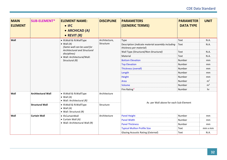| <b>MAIN</b><br><b>ELEMENT</b> | <b>SUB-ELEMENT*</b>                           | <b>ELEMENT NAME:</b><br>$\bullet$ IFC<br>• ARCHICAD (A)<br>$\bullet$ REVIT $(R)$                                              | <b>DISCIPLINE</b>                               | <b>PARAMETERS</b><br>(GENERIC TERMS)                                                 | <b>PARAMETER</b><br><b>DATA TYPE</b> | <b>UNIT</b>                      |
|-------------------------------|-----------------------------------------------|-------------------------------------------------------------------------------------------------------------------------------|-------------------------------------------------|--------------------------------------------------------------------------------------|--------------------------------------|----------------------------------|
| Wall                          |                                               | • IfcWall & IfcWallType<br>$\bullet$ Wall $(A)$<br>(Same wall can be used for<br>Architectural and Structural<br>disciplines) | Architecture,<br>Structure                      | Type<br>Description (indicate material assembly including<br>thickness per material) | Text<br>Text                         | N.A.<br>N.A.                     |
|                               |                                               |                                                                                                                               |                                                 | Wall Type (Structural/Non-Structural)<br>Material                                    | Text<br>Text                         | N.A.<br>N.A.                     |
|                               | · Wall: Architectural/Wall:<br>Structural (R) |                                                                                                                               | <b>Bottom Elevation</b><br><b>Top Elevation</b> | Number<br>Number                                                                     | mm<br>mm                             |                                  |
|                               |                                               |                                                                                                                               |                                                 | Thickness (overall)<br>Length                                                        | Number<br>Number                     | mm<br>mm                         |
|                               |                                               |                                                                                                                               |                                                 | Height                                                                               | Number                               | mm                               |
|                               |                                               |                                                                                                                               |                                                 | Area<br>Volume                                                                       | Number<br>Number                     | m <sup>2</sup><br>m <sup>3</sup> |
| Wall                          | <b>Architectural Wall</b>                     | • IfcWall & IfcWallType<br>$\bullet$ Wall $(A)$<br>• Wall: Architectural (R)                                                  | Architecture                                    | Fire Rating*                                                                         | Number                               | hr                               |
|                               | <b>Structural Wall</b>                        | • IfcWall & IfcWallType<br>$\bullet$ Wall $(A)$<br>• Wall: Structural $(R)$                                                   | Structure                                       | As per Wall above for each Sub-Element                                               |                                      |                                  |
| Wall                          | <b>Curtain Wall</b>                           | • IfcCurtainWall                                                                                                              | Architecture                                    | <b>Panel Height</b>                                                                  | Number                               | mm                               |
|                               |                                               | $\bullet$ Curtain Wall (A)                                                                                                    |                                                 | <b>Panel Width</b>                                                                   | Number                               | mm                               |
|                               |                                               | • Wall: Architectural Wall (R)                                                                                                |                                                 | <b>Panel Thickness</b>                                                               | Number                               | mm                               |
|                               |                                               |                                                                                                                               |                                                 | <b>Typical Mullion Profile Size</b>                                                  | Text                                 | mm x mm                          |
|                               |                                               |                                                                                                                               |                                                 | <b>Glazing Acoustic Rating (External)</b>                                            | Text                                 | N.A.                             |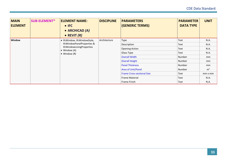| <b>MAIN</b><br><b>ELEMENT</b> | <b>SUB-ELEMENT*</b>                               | <b>ELEMENT NAME:</b><br>$\bullet$ IFC<br>• ARCHICAD (A)<br>• REVIT $(R)$ | <b>DISCIPLINE</b>     | <b>PARAMETERS</b><br><b>(GENERIC TERMS)</b> | <b>PARAMETER</b><br><b>DATA TYPE</b> | <b>UNIT</b>    |
|-------------------------------|---------------------------------------------------|--------------------------------------------------------------------------|-----------------------|---------------------------------------------|--------------------------------------|----------------|
| Window                        | · IfcWindow, IfcWindowStyle,                      | Architecture                                                             | Type                  | Text                                        | N.A.                                 |                |
|                               |                                                   | IfcWindowPanelProperties &                                               |                       | Description                                 | Text                                 | N.A.           |
|                               | IfcWindowLiningProperties<br>$\bullet$ Window (A) |                                                                          | <b>Opening Action</b> | Text                                        | N.A.                                 |                |
|                               |                                                   | $\bullet$ Window $(R)$                                                   |                       | Glass Type                                  | Text                                 | N.A.           |
|                               |                                                   |                                                                          |                       | <b>Overall Width</b>                        | Number                               | mm             |
|                               |                                                   |                                                                          |                       | <b>Overall Height</b>                       | <b>Number</b>                        | mm             |
|                               |                                                   |                                                                          |                       | <b>Panel Thickness</b>                      | Number                               | mm             |
|                               |                                                   |                                                                          |                       | Area of Unit/Panel                          | Number                               | m <sup>2</sup> |
|                               |                                                   |                                                                          |                       | <b>Frame Cross-sectional Size</b>           | Text                                 | mm x mm        |
|                               |                                                   |                                                                          |                       | <b>Frame Material</b>                       | Text                                 | N.A.           |
|                               |                                                   |                                                                          |                       | Frame Finish                                | Text                                 | N.A.           |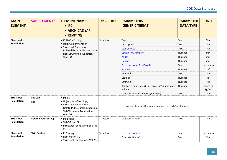| <b>MAIN</b><br><b>ELEMENT</b>   | <b>SUB-ELEMENT*</b>         | <b>ELEMENT NAME:</b><br>$\bullet$ IFC<br>• ARCHICAD (A)<br>• REVIT $(R)$                                                           | <b>DISCIPLINE</b>                                         | <b>PARAMETERS</b><br>(GENERIC TERMS) | <b>PARAMETER</b><br><b>DATA TYPE</b> | <b>UNIT</b>    |  |
|---------------------------------|-----------------------------|------------------------------------------------------------------------------------------------------------------------------------|-----------------------------------------------------------|--------------------------------------|--------------------------------------|----------------|--|
| Structural                      |                             | • IfcPile/IfcFooting                                                                                                               | Structure                                                 | Type                                 | Text                                 | N.A.           |  |
| Foundation                      |                             | • Object/Slab/Morph (A)                                                                                                            |                                                           | Description                          | Text                                 | N.A.           |  |
|                                 |                             | • Structural Foundation:<br>Isolated/Structural Foundation:                                                                        |                                                           | Level/Storey                         | Text                                 | N.A.           |  |
|                                 |                             | Slab/Structural Foundation:                                                                                                        |                                                           | Length (or Diameter)                 | Number                               | mm             |  |
|                                 |                             | Wall $(R)$                                                                                                                         |                                                           | Width                                | Number                               | mm             |  |
|                                 |                             |                                                                                                                                    |                                                           | Height                               | Number                               | mm             |  |
|                                 |                             |                                                                                                                                    |                                                           | <b>Cross-sectional Size/Profile</b>  | Text                                 | $mm \times mm$ |  |
|                                 |                             |                                                                                                                                    |                                                           | Volume                               | Number                               | m <sup>3</sup> |  |
|                                 |                             |                                                                                                                                    |                                                           | Material                             | Text                                 | N.A.           |  |
|                                 |                             |                                                                                                                                    |                                                           | Loading                              | Number                               | kg             |  |
|                                 |                             |                                                                                                                                    | Strength                                                  | Number                               | kN                                   |                |  |
|                                 |                             |                                                                                                                                    | Reinforcement Type & Rate (weight/unit area or<br>volume) | Number                               | $kg/m2$ or<br>kg/m <sup>3</sup>      |                |  |
|                                 |                             |                                                                                                                                    |                                                           | Concrete Grade* (where applicable)   | Text                                 | N.A.           |  |
| Structural<br><b>Foundation</b> | <b>Pile Cap</b><br>Pile     | • IfcPile<br>• Object/Slab/Morph (A)<br>• Structural Foundation:<br>Isolated/Structural Foundation:<br>Slab/Structural Foundation: | As per Structural Foundation above for each Sub-Element   |                                      |                                      |                |  |
| <b>Structural</b><br>Foundation | <b>Isolated Pad Footing</b> | Wall $(R)$<br>• IfcFooting<br>$\bullet$ Slab/Morph (A)<br>• Structural Foundation: Isolated<br>(R)                                 | Structure                                                 | Concrete Grade*                      | Text                                 | N.A.           |  |
| <b>Structural</b>               | <b>Strip Footing</b>        | • IfcFooting                                                                                                                       | Structure                                                 | <b>Cross-sectional Size</b>          | Text                                 | mm x mm        |  |
| <b>Foundation</b>               |                             | • Slab/Morph (A)<br>• Structural Foundation: Wall (R)                                                                              |                                                           | Concrete Grade*                      | Text                                 | N.A.           |  |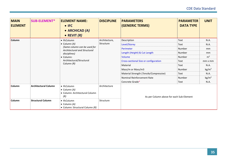| <b>MAIN</b><br><b>ELEMENT</b> | <b>SUB-ELEMENT*</b>         | <b>ELEMENT NAME:</b><br>$\bullet$ IFC<br>• ARCHICAD (A)<br>• REVIT $(R)$       | <b>DISCIPLINE</b> | <b>PARAMETERS</b><br>(GENERIC TERMS)     | <b>PARAMETER</b><br><b>DATA TYPE</b> | <b>UNIT</b>       |
|-------------------------------|-----------------------------|--------------------------------------------------------------------------------|-------------------|------------------------------------------|--------------------------------------|-------------------|
| <b>Column</b>                 | • IfcColumn                 | Architecture,                                                                  | Description       | Text                                     | N.A.                                 |                   |
|                               | $\bullet$ Column (A)        | Structure                                                                      | Level/Storey      | Text                                     | N.A.                                 |                   |
|                               |                             | (Same column can be used for<br><b>Architectural and Structural</b>            |                   | Perimeter                                | Number                               | mm                |
|                               |                             | disciplines)                                                                   |                   | Length (Height) & Cut Length             | Number                               | mm                |
|                               |                             | • Column:                                                                      |                   | Volume                                   | Number                               | m <sup>3</sup>    |
|                               |                             | Architectural/Structural<br>Column (R)                                         |                   | Cross-sectional Size or configuration    | Text                                 | $mm \times mm$    |
|                               |                             |                                                                                |                   | Material                                 | Text                                 | N.A.              |
|                               |                             |                                                                                |                   | Mass/m or Mass/m3                        | Number                               | kg/m <sup>3</sup> |
|                               |                             |                                                                                |                   | Material Strength (Tensile/Compressive)  | Text                                 | N.A.              |
|                               |                             |                                                                                |                   | Nominal Reinforcement Rate               | Number                               | kg/m <sup>3</sup> |
|                               |                             |                                                                                |                   | Concrete Grade*                          | Text                                 | N.A.              |
| <b>Column</b>                 | <b>Architectural Column</b> | • IfcColumn<br>$\bullet$ Column (A)<br>• Column: Architectural Column<br>(R)   | Architecture      | As per Column above for each Sub-Element |                                      |                   |
| <b>Column</b>                 | <b>Structural Column</b>    | $\bullet$ IfcColumn<br>$\bullet$ Column (A)<br>• Column: Structural Column (R) | Structure         |                                          |                                      |                   |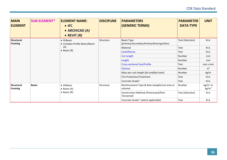| <b>MAIN</b><br><b>ELEMENT</b>       | <b>SUB-ELEMENT*</b> | <b>ELEMENT NAME:</b><br>$\bullet$ IFC<br>• ARCHICAD (A)<br>$\bullet$ REVIT $(R)$ | <b>DISCIPLINE</b> | <b>PARAMETERS</b><br><b>(GENERIC TERMS)</b>               | <b>PARAMETER</b><br><b>DATA TYPE</b> | <b>UNIT</b>                   |
|-------------------------------------|---------------------|----------------------------------------------------------------------------------|-------------------|-----------------------------------------------------------|--------------------------------------|-------------------------------|
| <b>Structural</b><br>Framing        |                     | $\bullet$ IfcBeam<br>• Complex Profile Beam/Beam                                 | Structure         | Beam Type<br>(primary/secondary/tertiary/bracing/other)   | Text (Selection)                     | N.A.                          |
|                                     | (A)                 |                                                                                  | Material          | Text                                                      | N.A.                                 |                               |
|                                     |                     | $\bullet$ Beam $(R)$                                                             |                   | Level/Storey                                              | Text                                 | N.A.                          |
|                                     |                     |                                                                                  |                   | <b>Cut Length</b>                                         | Number                               | <sub>mm</sub>                 |
|                                     |                     |                                                                                  |                   | Length                                                    | Number                               | <sub>mm</sub>                 |
|                                     |                     |                                                                                  |                   | <b>Cross-sectional Size/Profile</b>                       | Text                                 | $mm \times mm$                |
|                                     |                     |                                                                                  |                   | Volume                                                    | Number                               | m <sup>3</sup>                |
|                                     |                     |                                                                                  |                   | Mass per unit length (for profiled steel)                 | Number                               | kg/m                          |
|                                     |                     |                                                                                  |                   | Fire Protection/Treatment                                 | Text                                 | N.A.                          |
|                                     |                     |                                                                                  |                   | Concrete Grade*                                           | Text                                 | N.A.                          |
| <b>Structural</b><br><b>Framing</b> | <b>Beam</b>         | $\bullet$ IfcBeam<br>$\bullet$ Beam (A)<br>$\bullet$ Beam $(R)$                  | Structure         | Reinforcement Type & Rate (weight/unit area or<br>volume) | Number                               | $kg/m2$ or<br>$\text{kg/m}^3$ |
|                                     |                     |                                                                                  |                   | Construction Method (Prestressed/Post-<br>Tensioned)      | Text (Selection)                     | N.A.                          |
|                                     |                     |                                                                                  |                   | Concrete Grade* (where applicable)                        | Text                                 | N.A.                          |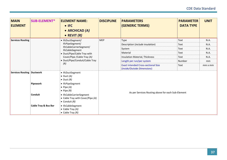| <b>MAIN</b><br><b>ELEMENT</b>      | <b>SUB-ELEMENT*</b>             | <b>ELEMENT NAME:</b><br>$\bullet$ IFC<br>• ARCHICAD (A)<br>• REVIT $(R)$                                                                                             | <b>DISCIPLINE</b> | <b>PARAMETERS</b><br>(GENERIC TERMS)                                      | <b>PARAMETER</b><br><b>DATA TYPE</b> | <b>UNIT</b>    |  |  |
|------------------------------------|---------------------------------|----------------------------------------------------------------------------------------------------------------------------------------------------------------------|-------------------|---------------------------------------------------------------------------|--------------------------------------|----------------|--|--|
| <b>Services Routing</b>            |                                 | • IfcDuctSegment/                                                                                                                                                    | <b>MEP</b>        | Type                                                                      | Text                                 | N.A.           |  |  |
|                                    |                                 | IfcPipeSegment/<br>IfcCableCarrierSegment/<br>IfcCableSegment<br>• Duct/Pipe/Cable Tray with<br>Cover/Pipe / Cable Tray (A)<br>• Duct/Pipe/Conduit/Cable Tray<br>(R) |                   | Description (include insulation)                                          | Text                                 | N.A.           |  |  |
|                                    |                                 |                                                                                                                                                                      |                   | System                                                                    | Text                                 | N.A.           |  |  |
|                                    |                                 |                                                                                                                                                                      |                   | Material                                                                  | <b>Text</b>                          | N.A.           |  |  |
|                                    |                                 |                                                                                                                                                                      |                   | <b>Insulation Material, Thickness</b>                                     | Text                                 | N.A.           |  |  |
|                                    |                                 |                                                                                                                                                                      |                   | Length per run/per system                                                 | Number                               | mm             |  |  |
|                                    |                                 |                                                                                                                                                                      |                   | <b>Exact intended Cross-sectional Size</b><br>(Inside/Outside Dimensions) | Text                                 | $mm \times mm$ |  |  |
| <b>Services Routing   Ductwork</b> |                                 | • IfcDuctSegment<br>$\bullet$ Duct (A)<br>• Duct $(R)$                                                                                                               |                   |                                                                           |                                      |                |  |  |
|                                    | Pipework                        | • IfcPipeSegment<br>• Pipe $(A)$<br>• Pipe $(R)$                                                                                                                     |                   |                                                                           |                                      |                |  |  |
|                                    | Conduit                         | • IfcCableCarrierSegment<br>• Cable Tray with Cover/Pipe (A)<br>• Conduit $(R)$                                                                                      |                   | As per Services Routing above for each Sub-Element                        |                                      |                |  |  |
|                                    | <b>Cable Tray &amp; Bus Bar</b> | • IfcCableSegment<br>• Cable Tray $(A)$<br>• Cable Tray $(R)$                                                                                                        |                   |                                                                           |                                      |                |  |  |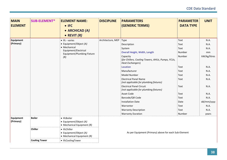| <b>MAIN</b><br><b>ELEMENT</b> | <b>SUB-ELEMENT*</b>  | <b>ELEMENT NAME:</b><br>$\bullet$ IFC<br>• ARCHICAD (A)<br>• REVIT $(R)$     | <b>DISCIPLINE</b>                                                                         | <b>PARAMETERS</b><br><b>(GENERIC TERMS)</b>                               | <b>PARAMETER</b><br><b>DATA TYPE</b> | <b>UNIT</b> |  |  |
|-------------------------------|----------------------|------------------------------------------------------------------------------|-------------------------------------------------------------------------------------------|---------------------------------------------------------------------------|--------------------------------------|-------------|--|--|
| Equipment                     |                      | • Ifc - varies                                                               | Architecture, MEP                                                                         | Type                                                                      | Text                                 | N.A.        |  |  |
| (Primary)                     |                      | • Equipment/Object (A)                                                       |                                                                                           | Description                                                               | Text                                 | N.A.        |  |  |
|                               |                      | • Mechanical<br>Equipment/Electrical<br>Equipment/Plumbing Fixture           |                                                                                           | System                                                                    | Text                                 | N.A.        |  |  |
|                               |                      |                                                                              |                                                                                           | Overall Height, Width, Length                                             | Number                               | mm          |  |  |
|                               | (R)                  |                                                                              | Capacity<br>(for Chillers, Cooling Towers, AHUs, Pumps, FCUs,<br><b>Heat Exchangers</b> ) | Number                                                                    | kW/kg/litres                         |             |  |  |
|                               |                      |                                                                              |                                                                                           | Location                                                                  | Text                                 | N.A.        |  |  |
|                               |                      |                                                                              |                                                                                           | Manufacturer                                                              | Text                                 | N.A.        |  |  |
|                               |                      |                                                                              |                                                                                           | <b>Model Number</b>                                                       | Text                                 | N.A.        |  |  |
|                               |                      |                                                                              |                                                                                           | <b>Electrical Panel Name</b><br>(not applicable for plumbing fixtures)    | Text                                 | N.A.        |  |  |
|                               |                      |                                                                              |                                                                                           | <b>Electrical Panel Circuit</b><br>(not applicable for plumbing fixtures) | Text                                 | N.A.        |  |  |
|                               |                      |                                                                              |                                                                                           | Asset Code                                                                | Text                                 | N.A.        |  |  |
|                               |                      |                                                                              |                                                                                           | Barcode/QR Code                                                           | Text                                 | N.A.        |  |  |
|                               |                      |                                                                              |                                                                                           | <b>Installation Date</b>                                                  | Date                                 | dd/mm/yyyy  |  |  |
|                               |                      |                                                                              |                                                                                           | Warrantor                                                                 | Text                                 | N.A.        |  |  |
|                               |                      |                                                                              |                                                                                           | <b>Warranty Description</b>                                               | Text                                 | N.A.        |  |  |
|                               |                      |                                                                              |                                                                                           | <b>Warranty Duration</b>                                                  | Number                               | years       |  |  |
| Equipment<br>(Primary)        | <b>Boiler</b>        | • IfcBoiler<br>• Equipment/Object (A)<br>• Mechanical Equipment $(R)$        |                                                                                           |                                                                           |                                      |             |  |  |
|                               | Chiller              | • IfcChiller<br>• Equipment/Object (A)<br>$\bullet$ Mechanical Equipment (R) | As per Equipment (Primary) above for each Sub-Element                                     |                                                                           |                                      |             |  |  |
|                               | <b>Cooling Tower</b> | • IfcCoolingTower                                                            |                                                                                           |                                                                           |                                      |             |  |  |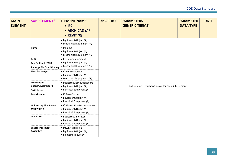| <b>MAIN</b><br><b>ELEMENT</b> | <b>SUB-ELEMENT*</b>                                                                           | <b>ELEMENT NAME:</b><br>$\bullet$ IFC<br>• ARCHICAD (A)<br>• REVIT $(R)$                                                                    | <b>DISCIPLINE</b> | <b>PARAMETERS</b><br>(GENERIC TERMS)              | <b>PARAMETER</b><br><b>DATA TYPE</b> | <b>UNIT</b> |  |  |  |
|-------------------------------|-----------------------------------------------------------------------------------------------|---------------------------------------------------------------------------------------------------------------------------------------------|-------------------|---------------------------------------------------|--------------------------------------|-------------|--|--|--|
|                               | Pump                                                                                          | • Equipment/Object (A)<br>• Mechanical Equipment $(R)$<br>• IfcPump<br>• Equipment/Object (A)                                               |                   |                                                   |                                      |             |  |  |  |
|                               | <b>AHU</b><br>Fan Coil Unit (FCU)<br><b>Package Air Conditioning</b><br><b>Heat Exchanger</b> | $\bullet$ Mechanical Equipment (R)<br>• IfcUnitaryEquipment<br>• Equipment/Object (A)<br>• Mechanical Equipment $(R)$<br>• IfcHeatExchanger |                   |                                                   |                                      |             |  |  |  |
|                               | <b>Distribution</b>                                                                           | • Equipment/Object (A)<br>• Mechanical Equipment $(R)$<br>• IfcElectricDistributionBoard                                                    |                   |                                                   |                                      |             |  |  |  |
|                               | Board/Switchboard<br>Switchgear                                                               | • Equipment/Object (A)<br>• Electrical Equipment $(R)$                                                                                      |                   | As Equipment (Primary) above for each Sub-Element |                                      |             |  |  |  |
|                               | <b>Transformer</b>                                                                            | • IfcTransformer<br>• Equipment/Object (A)<br>• Electrical Equipment $(R)$                                                                  |                   |                                                   |                                      |             |  |  |  |
|                               | <b>Uninterruptible Power</b><br><b>Supply (UPS)</b>                                           | • IfcElectricFlowStorageDevice<br>• Equipment/Object (A)<br>• Electrical Equipment $(R)$                                                    |                   |                                                   |                                      |             |  |  |  |
|                               | Generator                                                                                     | • IfcElectricGenerator<br>• Equipment/Object (A)<br>• Electrical Equipment $(R)$                                                            |                   |                                                   |                                      |             |  |  |  |
|                               | <b>Water Treatment</b><br><b>Assembly</b>                                                     | • IfcWasteTerminal<br>• Equipment/Object (A)<br>• Plumbing Fixture $(R)$                                                                    |                   |                                                   |                                      |             |  |  |  |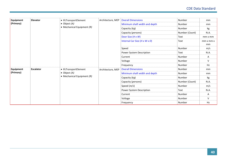| <b>Equipment</b> | Elevator         | • IfcTransportElement        | Architecture, MEP | <b>Overall Dimensions</b>     | Number         | mm                          |
|------------------|------------------|------------------------------|-------------------|-------------------------------|----------------|-----------------------------|
| (Primary)        |                  | $\bullet$ Object (A)         |                   | Minimum shaft width and depth | Number         | mm                          |
|                  |                  | • Mechanical Equipment $(R)$ |                   | Capacity (kg)                 | Number         | kg                          |
|                  |                  |                              |                   | Capacity (persons)            | Number (Count) | N.A.                        |
|                  |                  |                              |                   | Door Size (H x W)             | Text           | $mm \times mm$              |
|                  |                  |                              |                   | Internal Car Size (H x W x D) | Text           | $mm \times mm \times$<br>mm |
|                  |                  |                              |                   | Speed                         | Number         | m/s                         |
|                  |                  |                              |                   | Power System Description      | Text           | N.A.                        |
|                  |                  |                              |                   | Current                       | Number         | Α                           |
|                  |                  |                              |                   | Voltage                       | Number         | V                           |
|                  |                  |                              |                   | Frequency                     | Number         | Hz                          |
| <b>Equipment</b> | <b>Escalator</b> | • IfcTransportElement        | Architecture, MEP | <b>Overall Dimensions</b>     | Number         | mm                          |
| (Primary)        |                  | $\bullet$ Object (A)         |                   | Minimum shaft width and depth | Number         | mm                          |
|                  |                  | • Mechanical Equipment $(R)$ |                   | Capacity (kg)                 | Number         | kg                          |
|                  |                  |                              |                   | Capacity (persons)            | Number (Count) | N.A.                        |
|                  |                  |                              |                   | Speed $(m/s)$                 | Number         | m/s                         |
|                  |                  |                              |                   | Power System Description      | Text           | N.A.                        |
|                  |                  |                              |                   | Current                       | Number         | Α                           |
|                  |                  |                              |                   | Voltage                       | Number         | $\vee$                      |
|                  |                  |                              |                   | Frequency                     | Number         | Hz                          |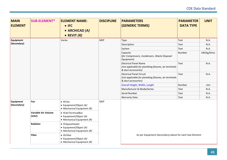| <b>MAIN</b><br><b>ELEMENT</b> | <b>SUB-ELEMENT*</b>          | <b>ELEMENT NAME:</b><br>$\bullet$ IFC<br>• ARCHICAD (A)<br>• REVIT $(R)$         | <b>DISCIPLINE</b> | <b>PARAMETERS</b><br><b>(GENERIC TERMS)</b>                                                                    | <b>PARAMETER</b><br><b>DATA TYPE</b> | <b>UNIT</b>  |
|-------------------------------|------------------------------|----------------------------------------------------------------------------------|-------------------|----------------------------------------------------------------------------------------------------------------|--------------------------------------|--------------|
| <b>Equipment</b>              |                              | Varies                                                                           | <b>MEP</b>        | Type                                                                                                           | Text                                 | N.A.         |
| (Secondary)                   |                              |                                                                                  |                   | Description                                                                                                    | Text                                 | N.A.         |
|                               |                              |                                                                                  |                   | System                                                                                                         | Text                                 | N.A.         |
|                               |                              |                                                                                  |                   | Capacity<br>(for Compressors, Condensers, Waste Disposal<br>Equipment)                                         | Number                               | kW/kg/litres |
|                               |                              |                                                                                  |                   | <b>Electrical Panel Name</b><br>(not applicable for plumbing fixtures, air terminals<br>& duct accessories)    | Text                                 | N.A.         |
|                               |                              |                                                                                  |                   | <b>Electrical Panel Circuit</b><br>(not applicable for plumbing fixtures, air terminals<br>& duct accessories) | Text                                 | N.A.         |
|                               |                              |                                                                                  |                   | Overall Height, Width, Length                                                                                  | Number                               | mm           |
|                               |                              |                                                                                  |                   | Manufacturer & Mode/Series                                                                                     | Text                                 | N.A.         |
|                               |                              |                                                                                  |                   | Serial Number                                                                                                  | Text                                 | N.A.         |
|                               |                              |                                                                                  |                   | <b>Warranty Data</b>                                                                                           | Text                                 | N.A.         |
| Equipment<br>(Secondary)      | Fan                          | $\bullet$ IfcFan<br>• Equipment/Object (A)<br>$\bullet$ Mechanical Equipment (R) | <b>MEP</b>        |                                                                                                                |                                      |              |
|                               | Variable Air Volume<br>(VAV) | • IfcAirTerminalBox<br>• Equipment/Object (A)<br>• Mechanical Equipment $(R)$    |                   |                                                                                                                |                                      |              |
|                               | Radiator                     | • IfcSpaceHeater<br>• Equipment/Object (A)<br>• Mechanical Equipment $(R)$       |                   |                                                                                                                |                                      |              |
|                               | <b>Filter</b>                | • IfcFilter<br>• Equipment/Object (A)<br>$\bullet$ Mechanical Equipment (R)      |                   | As per Equipment (Secondary) above for each Sub-Element                                                        |                                      |              |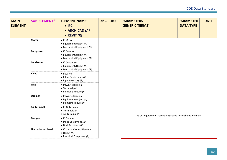| <b>MAIN</b><br><b>ELEMENT</b> | <b>SUB-ELEMENT*</b>         | <b>ELEMENT NAME:</b><br>$\bullet$ IFC<br>• ARCHICAD (A)<br>• REVIT $(R)$           | <b>DISCIPLINE</b> | <b>PARAMETERS</b><br><b>(GENERIC TERMS)</b>             | <b>PARAMETER</b><br><b>DATA TYPE</b> | <b>UNIT</b> |
|-------------------------------|-----------------------------|------------------------------------------------------------------------------------|-------------------|---------------------------------------------------------|--------------------------------------|-------------|
|                               | <b>Motor</b>                | • IfcMotor<br>• Equipment/Object (A)<br>• Mechanical Equipment $(R)$               |                   |                                                         |                                      |             |
|                               | Compressor                  | • IfcCompressor<br>• Equipment/Object (A)<br>• Mechanical Equipment $(R)$          |                   |                                                         |                                      |             |
|                               | Condenser                   | • IfcCondenser<br>• Equipment/Object (A)<br>• Mechanical Equipment $(R)$           |                   |                                                         |                                      |             |
|                               | Valve                       | • IfcValve<br>• Inline Equipment (A)<br>• Pipe Accessory $(R)$                     |                   |                                                         |                                      |             |
|                               | <b>Trap</b>                 | • IfcWasteTerminal<br>$\bullet$ Terminal (A)<br>• Plumbing Fixture $(R)$           |                   |                                                         |                                      |             |
|                               | <b>Strainer</b>             | • IfcWasteTerminal<br>• Equipment/Object (A)<br>• Plumbing Fixture $(R)$           |                   |                                                         |                                      |             |
|                               | <b>Air Terminal</b>         | • IfcAirTerminal<br>$\bullet$ Terminal (A)<br>• Air Terminal $(R)$                 |                   | As per Equipment (Secondary) above for each Sub-Element |                                      |             |
|                               | Damper                      | • IfcDamper<br>• Inline Equipment (A)<br>• Duct Accessory (R)                      |                   |                                                         |                                      |             |
|                               | <b>Fire Indicator Panel</b> | • IfcUnitaryControlElement<br>$\bullet$ Object (A)<br>• Electrical Equipment $(R)$ |                   |                                                         |                                      |             |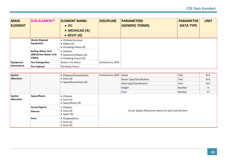| <b>MAIN</b><br><b>ELEMENT</b>   | <b>SUB-ELEMENT*</b>                                        | <b>ELEMENT NAME:</b><br>$\bullet$ IFC<br>• ARCHICAD (A)<br>• REVIT $(R)$ | <b>DISCIPLINE</b> | <b>PARAMETERS</b><br><b>(GENERIC TERMS)</b> | <b>PARAMETER</b><br><b>DATA TYPE</b> | <b>UNIT</b> |
|---------------------------------|------------------------------------------------------------|--------------------------------------------------------------------------|-------------------|---------------------------------------------|--------------------------------------|-------------|
|                                 | <b>Waste Disposal</b><br>Equipment                         | • IfcWasteTerminal<br>$\bullet$ Object (A)<br>• Plumbing Fixture $(R)$   |                   |                                             |                                      |             |
|                                 | <b>Boiling Water Unit</b><br>(BWU)/Hot Water Unit<br>(HWU) | • IfcBoiler<br>• Equipment/Object (A)<br>• Plumbing Fixture $(R)$        |                   |                                             |                                      |             |
| <b>Equipment</b><br>(Secondary) | <b>Fire Extinguisher</b><br><b>Fire Hydrant</b>            | Device: Fire Alarm<br><b>Plumbing Fixture</b>                            | Architecture, MEP |                                             |                                      |             |

| <b>Spatial</b><br>Allocation |                         | • IfcSpace/IfcSoatialZone<br>$\bullet$ Zone (A)<br>• Space/Room/Zone $(R)$ | Architecture, MEP                                     | Name<br>Room Type/Classification<br>Area Type/Classification<br>Height | Text<br>Text<br>Text<br>Number | N.A.<br>N.A.<br>N.A.<br>m<br>m <sup>2</sup> |  |  |
|------------------------------|-------------------------|----------------------------------------------------------------------------|-------------------------------------------------------|------------------------------------------------------------------------|--------------------------------|---------------------------------------------|--|--|
| <b>Spatial</b><br>Allocation | Space/Room              | $\bullet$ IfcSpace<br>$\bullet$ Zone (A)<br>• Space/Room $(R)$             |                                                       | Number<br>Area                                                         |                                |                                             |  |  |
|                              | Access/Egress<br>Plenum | $\bullet$ IfcSpace<br>$\bullet$ Zone (A)<br>$\bullet$ Space $(R)$          | As per Spatial Allocations above for each Sub-Element |                                                                        |                                |                                             |  |  |
|                              | Zone                    | • IfcSpatialZone<br>$\bullet$ Zone (A)<br>$\bullet$ Zone $(R)$             |                                                       |                                                                        |                                |                                             |  |  |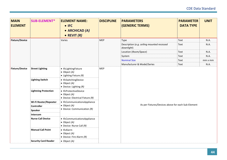| <b>MAIN</b><br><b>ELEMENT</b> | <b>SUB-ELEMENT*</b>                                                             | <b>ELEMENT NAME:</b><br>$\bullet$ IFC<br>• ARCHICAD (A)<br>• REVIT $(R)$                                                                                                                                                                          | <b>DISCIPLINE</b> | <b>PARAMETERS</b><br>(GENERIC TERMS)                     | <b>PARAMETER</b><br><b>DATA TYPE</b> | <b>UNIT</b> |  |  |
|-------------------------------|---------------------------------------------------------------------------------|---------------------------------------------------------------------------------------------------------------------------------------------------------------------------------------------------------------------------------------------------|-------------------|----------------------------------------------------------|--------------------------------------|-------------|--|--|
| <b>Fixture/Device</b>         |                                                                                 | Varies                                                                                                                                                                                                                                            | <b>MEP</b>        | Type                                                     | Text                                 | N.A.        |  |  |
|                               |                                                                                 |                                                                                                                                                                                                                                                   |                   | Description (e.g. ceiling mounted recessed<br>downlight) | Text                                 | N.A.        |  |  |
|                               |                                                                                 |                                                                                                                                                                                                                                                   |                   | Location (Room/Space)                                    | Text                                 | N.A.        |  |  |
|                               |                                                                                 |                                                                                                                                                                                                                                                   |                   | System                                                   | Text                                 | N.A.        |  |  |
|                               |                                                                                 |                                                                                                                                                                                                                                                   |                   | <b>Nominal Size</b>                                      | Text                                 | mm x mm     |  |  |
|                               |                                                                                 |                                                                                                                                                                                                                                                   |                   | Manufacturer & Model/Series                              | Text                                 | N.A.        |  |  |
| <b>Fixture/Device</b>         | <b>Street Lighting</b><br><b>Lighting Switch</b><br><b>Lightning Protection</b> | · IfcLightingFixture<br>$\bullet$ Object (A)<br>$\bullet$ Lighting Fixture (R)<br>• IfcSwitchingDevice<br>$\bullet$ Object (A)<br>• Device: Lighting $(R)$<br>• IfcProtectiveDevice<br>$\bullet$ Object (A)<br>• Device: Electrical Fixture $(R)$ | <b>MEP</b>        |                                                          |                                      |             |  |  |
|                               | Wi-Fi Router/Repeater                                                           | • IfcCommunicationsAppliance                                                                                                                                                                                                                      |                   | As per Fixtures/Devices above for each Sub-Element       |                                      |             |  |  |
|                               | <b>Controller</b>                                                               | $\bullet$ Object (A)<br>• Device: Communication $(R)$                                                                                                                                                                                             |                   |                                                          |                                      |             |  |  |
|                               | Speaker                                                                         |                                                                                                                                                                                                                                                   |                   |                                                          |                                      |             |  |  |
|                               | Intercom                                                                        |                                                                                                                                                                                                                                                   |                   |                                                          |                                      |             |  |  |
|                               | <b>Nurse Call Device</b>                                                        | • IfcCommunicationsAppliance<br>$\bullet$ Object (A)<br>• Device: Nurse Call $(R)$                                                                                                                                                                |                   |                                                          |                                      |             |  |  |
|                               | <b>Manual Call Point</b>                                                        | • IfcAlarm<br>$\bullet$ Object (A)<br>• Device: Fire Alarm $(R)$                                                                                                                                                                                  |                   |                                                          |                                      |             |  |  |
|                               | <b>Security Card Reader</b>                                                     | $\bullet$ Object (A)                                                                                                                                                                                                                              |                   |                                                          |                                      |             |  |  |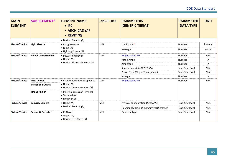| <b>MAIN</b><br><b>ELEMENT</b> | <b>SUB-ELEMENT*</b>          | <b>ELEMENT NAME:</b><br>$\bullet$ IFC<br>• ARCHICAD (A)<br>• REVIT $(R)$    | <b>DISCIPLINE</b> | <b>PARAMETERS</b><br><b>(GENERIC TERMS)</b> | <b>PARAMETER</b><br><b>DATA TYPE</b> | <b>UNIT</b>   |
|-------------------------------|------------------------------|-----------------------------------------------------------------------------|-------------------|---------------------------------------------|--------------------------------------|---------------|
|                               |                              | • Device: Security $(R)$                                                    |                   |                                             |                                      |               |
| <b>Fixture/Device</b>         | <b>Light Fixture</b>         | • IfcLightFixture                                                           | <b>MEP</b>        | Luminance*                                  | Number                               | lumens        |
|                               |                              | $\bullet$ Lamp (A)<br>• Lighting Fixture $(R)$                              |                   | Wattage                                     | Number                               | watts         |
| <b>Fixture/Device</b>         | <b>Power Outlet/Switch</b>   | • IfcSwitchingDevice                                                        | <b>MEP</b>        | <b>Height above FFL</b>                     | Number                               | mm            |
|                               |                              | $\bullet$ Object (A)<br>• Device: Electrical Fixture $(R)$                  |                   | Rated Amps                                  | Number                               | A             |
|                               |                              |                                                                             |                   | Amperage                                    | Number                               | A             |
|                               |                              |                                                                             |                   | Supply Type (ESS/NESS/UPS)                  | Text (Selection)                     | N.A.          |
|                               |                              |                                                                             |                   | Power Type (Single/Three-phase)             | Text (Selection)                     | N.A.          |
|                               |                              |                                                                             |                   | Voltage                                     | Number                               | V             |
| <b>Fixture/Device</b>         | <b>Data Outlet</b>           | • IfcCommunicationsAppliance                                                | <b>MEP</b>        | <b>Height above FFL</b>                     | Number                               | <sub>mm</sub> |
|                               | <b>Telephone Outlet</b>      | $\bullet$ Object (A)<br>• Device: Communication $(R)$                       |                   |                                             |                                      |               |
|                               | <b>Fire Sprinkler</b>        | • IfcFireSuppressionTerminal<br>$\bullet$ Terminal (A)<br>• Sprinkler $(R)$ |                   |                                             |                                      |               |
| <b>Fixture/Device</b>         | <b>Security Camera</b>       | $\bullet$ Object (A)<br>• Device: Security $(R)$                            | <b>MEP</b>        | Physical configuration (fixed/PTZ)          | Text (Selection)                     | N.A.          |
|                               |                              |                                                                             |                   | Housing (dome/anti-vandal/weatherproof)     | Text (Selection)                     | N.A.          |
| <b>Fixture/Device</b>         | <b>Sensor &amp; Detector</b> | $\bullet$ IfcAlarm<br>• Object $(A)$<br>• Device: Fire Alarm (R)            | <b>MEP</b>        | Detector Type                               | Text (Selection)                     | N.A.          |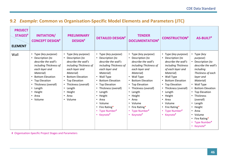#### **9.2** *Example***: Common vs Organisation-Specific Model Elements and Parameters (JTC)**

| <b>PROJECT</b><br><b>STAGES#</b><br><b>ELEMENT</b> | <b>INITIATION/</b><br><b>CONCEPT DESIGN#</b>                                                                                                                                                                                               | <b>PRELIMINARY</b><br><b>DESIGN#</b>                                                                                                                                                                                                                             | <b>DETAILED DESIGN#</b>                                                                                                                                                                                                                                                                                    | <b>TENDER</b><br><b>DOCUMENTATION#</b>                                                                                                                                                                                                                                                                     | <b>CONSTRUCTION#</b>                                                                                                                                                                                                                                                                                       | <b>AS-BUILT#</b>                                                                                                                                                                                                                                                                                                                        |
|----------------------------------------------------|--------------------------------------------------------------------------------------------------------------------------------------------------------------------------------------------------------------------------------------------|------------------------------------------------------------------------------------------------------------------------------------------------------------------------------------------------------------------------------------------------------------------|------------------------------------------------------------------------------------------------------------------------------------------------------------------------------------------------------------------------------------------------------------------------------------------------------------|------------------------------------------------------------------------------------------------------------------------------------------------------------------------------------------------------------------------------------------------------------------------------------------------------------|------------------------------------------------------------------------------------------------------------------------------------------------------------------------------------------------------------------------------------------------------------------------------------------------------------|-----------------------------------------------------------------------------------------------------------------------------------------------------------------------------------------------------------------------------------------------------------------------------------------------------------------------------------------|
| Wall                                               | • Type (key purpose)<br>Description (to<br>describe the wall's<br>including Thickness of<br>each layer and<br>Material)<br><b>Bottom Elevation</b><br>• Top Elevation<br>Thickness (overall)<br>• Length<br>• Height<br>• Area<br>• Volume | Type (key purpose)<br>$\bullet$<br>Description (to<br>describe the wall's<br>including Thickness of<br>each layer and<br>Material)<br><b>Bottom Elevation</b><br>• Top Elevation<br>Thickness (overall)<br>• Length<br>• Height<br>Area<br>$\bullet$<br>• Volume | • Type (key purpose)<br>• Description (to<br>describe the wall's<br>including Thickness of<br>each layer and<br>Material)<br>• Wall Type<br>• Bottom Elevation<br>• Top Elevation<br>• Thickness (overall)<br>• Length<br>• Height<br>• Area<br>• Volume<br>• Fire Rating*<br>• Type Number#<br>• Keynote# | • Type (key purpose)<br>• Description (to<br>describe the wall's<br>including Thickness of<br>each layer and<br>Material)<br>• Wall Type<br>• Bottom Elevation<br>• Top Elevation<br>• Thickness (overall)<br>• Length<br>• Height<br>• Area<br>• Volume<br>• Fire Rating*<br>• Type Number#<br>• Keynote# | • Type (key purpose)<br>• Description (to<br>describe the wall's<br>including Thickness<br>of each layer and<br>Material)<br>• Wall Type<br>• Bottom Elevation<br>• Top Elevation<br>• Thickness (overall)<br>• Length<br>• Height<br>• Area<br>• Volume<br>• Fire Rating*<br>• Type Number#<br>• Keynote# | Type (key<br>purpose)<br>• Description (to<br>describe the wall's<br>including<br>Thickness of each<br>layer and<br>Material)<br>• Wall Type<br>• Bottom Elevation<br>• Top Elevation<br>Thickness<br>$\bullet$<br>(overall)<br>• Length<br>Height<br>$\bullet$<br>• Area<br>• Volume<br>• Fire Rating*<br>• Type Number#<br>• Keynote# |

<span id="page-45-0"></span># Organisation-Specific Project Stages and Parameters